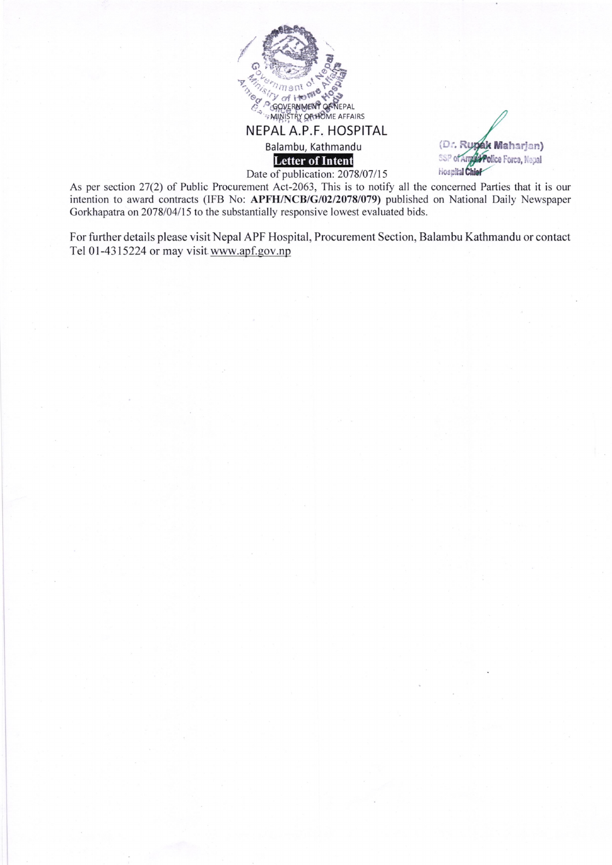

(Dr. Rupak Maharjan) SSP of American Force, Nepal **Hospital Chief** 

As per section 27(2) of Public Procurement Act-2063, This is to notify all the concerned Parties that it is our intention to award contracts (IFB No: APFH/NCB/G/02/2078/079) published on National Daily Newspaper Gorkhapatra on 2078/04/15 to the substantially responsive lowest evaluated bids.

For further details please visit Nepal APF Hospital, Procurement Section, Balambu Kathmandu or contact Tel 0l-4315224 or may visit.www.apf.gov.np